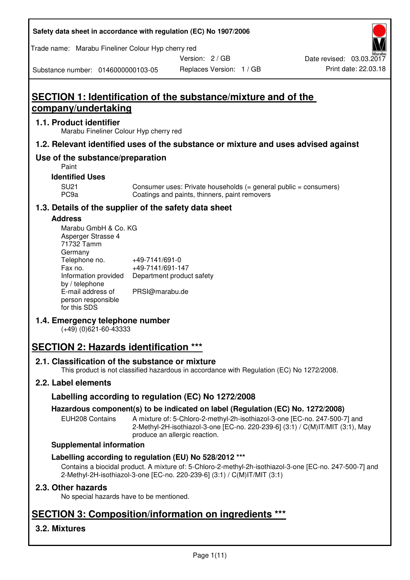| Safety data sheet in accordance with regulation (EC) No 1907/2006 |  |
|-------------------------------------------------------------------|--|
|-------------------------------------------------------------------|--|

Trade name: Marabu Fineliner Colour Hyp cherry red

Version: 2 / GB

Replaces Version: 1 / GB Print date: 22.03.18 Date revised: 03.03.2017

Substance number: 0146000000103-05

# **SECTION 1: Identification of the substance/mixture and of the company/undertaking**

### **1.1. Product identifier**

Marabu Fineliner Colour Hyp cherry red

## **1.2. Relevant identified uses of the substance or mixture and uses advised against**

## **Use of the substance/preparation**

Paint

#### **Identified Uses**

SU21 Consumer uses: Private households (= general public = consumers)<br>PC9a Coatings and paints, thinners, paint removers Coatings and paints, thinners, paint removers

#### **1.3. Details of the supplier of the safety data sheet**

#### **Address**

| Marabu GmbH & Co. KG |                           |
|----------------------|---------------------------|
| Asperger Strasse 4   |                           |
| 71732 Tamm           |                           |
| Germany              |                           |
| Telephone no.        | +49-7141/691-0            |
| Fax no.              | +49-7141/691-147          |
| Information provided | Department product safety |
| by / telephone       |                           |
| E-mail address of    | PRSI@marabu.de            |
| person responsible   |                           |
| for this SDS         |                           |

## **1.4. Emergency telephone number**

(+49) (0)621-60-43333

# **SECTION 2: Hazards identification \*\*\***

#### **2.1. Classification of the substance or mixture**

This product is not classified hazardous in accordance with Regulation (EC) No 1272/2008.

## **2.2. Label elements**

## **Labelling according to regulation (EC) No 1272/2008**

#### **Hazardous component(s) to be indicated on label (Regulation (EC) No. 1272/2008)**

EUH208 Contains A mixture of: 5-Chloro-2-methyl-2h-isothiazol-3-one [EC-no. 247-500-7] and 2-Methyl-2H-isothiazol-3-one [EC-no. 220-239-6] (3:1) / C(M)IT/MIT (3:1), May produce an allergic reaction.

#### **Supplemental information**

#### **Labelling according to regulation (EU) No 528/2012 \*\*\***

Contains a biocidal product. A mixture of: 5-Chloro-2-methyl-2h-isothiazol-3-one [EC-no. 247-500-7] and 2-Methyl-2H-isothiazol-3-one [EC-no. 220-239-6] (3:1) / C(M)IT/MIT (3:1)

#### **2.3. Other hazards**

No special hazards have to be mentioned.

# **SECTION 3: Composition/information on ingredients \*\*\***

## **3.2. Mixtures**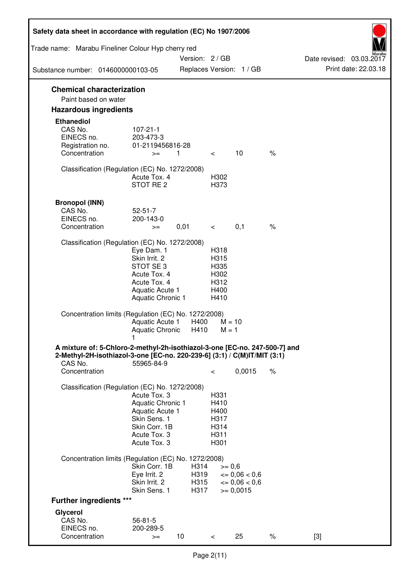| Safety data sheet in accordance with regulation (EC) No 1907/2006                                                                                                 |                                                                                                                       |                      |                                                      |                                              |      |                          |
|-------------------------------------------------------------------------------------------------------------------------------------------------------------------|-----------------------------------------------------------------------------------------------------------------------|----------------------|------------------------------------------------------|----------------------------------------------|------|--------------------------|
| Trade name: Marabu Fineliner Colour Hyp cherry red                                                                                                                |                                                                                                                       | Version: 2 / GB      |                                                      |                                              |      | Date revised: 03.03.2017 |
| Substance number: 0146000000103-05                                                                                                                                |                                                                                                                       |                      |                                                      | Replaces Version: 1 / GB                     |      | Print date: 22.03.18     |
| <b>Chemical characterization</b><br>Paint based on water                                                                                                          |                                                                                                                       |                      |                                                      |                                              |      |                          |
| <b>Hazardous ingredients</b>                                                                                                                                      |                                                                                                                       |                      |                                                      |                                              |      |                          |
| <b>Ethanediol</b><br>CAS No.<br>EINECS no.<br>Registration no.<br>Concentration                                                                                   | $107 - 21 - 1$<br>203-473-3<br>01-2119456816-28<br>$>=$                                                               | $\overline{1}$       | $\lt$                                                | 10                                           | $\%$ |                          |
| Classification (Regulation (EC) No. 1272/2008)                                                                                                                    | Acute Tox, 4<br>STOT RE <sub>2</sub>                                                                                  |                      | H302<br>H373                                         |                                              |      |                          |
| <b>Bronopol (INN)</b><br>CAS No.<br>EINECS no.<br>Concentration                                                                                                   | $52 - 51 - 7$<br>200-143-0<br>$>=$                                                                                    | 0,01                 | $\overline{\phantom{0}}$                             | 0,1                                          | $\%$ |                          |
| Classification (Regulation (EC) No. 1272/2008)                                                                                                                    | Eye Dam. 1<br>Skin Irrit. 2<br>STOT SE3<br>Acute Tox. 4<br>Acute Tox. 4<br>Aquatic Acute 1<br>Aquatic Chronic 1       |                      | H318<br>H315<br>H335<br>H302<br>H312<br>H400<br>H410 |                                              |      |                          |
| Concentration limits (Regulation (EC) No. 1272/2008)                                                                                                              | Aquatic Acute 1<br>Aquatic Chronic                                                                                    | H400<br>H410         | $M = 1$                                              | $M = 10$                                     |      |                          |
| A mixture of: 5-Chloro-2-methyl-2h-isothiazol-3-one [EC-no. 247-500-7] and<br>2-Methyl-2H-isothiazol-3-one [EC-no. 220-239-6] (3:1) / C(M)IT/MIT (3:1)<br>CAS No. | 55965-84-9                                                                                                            |                      |                                                      |                                              |      |                          |
| Concentration                                                                                                                                                     |                                                                                                                       |                      | $\,<\,$                                              | 0,0015                                       | $\%$ |                          |
| Classification (Regulation (EC) No. 1272/2008)                                                                                                                    | Acute Tox. 3<br>Aquatic Chronic 1<br>Aquatic Acute 1<br>Skin Sens. 1<br>Skin Corr. 1B<br>Acute Tox. 3<br>Acute Tox. 3 |                      | H331<br>H410<br>H400<br>H317<br>H314<br>H311<br>H301 |                                              |      |                          |
| Concentration limits (Regulation (EC) No. 1272/2008)                                                                                                              | Skin Corr. 1B<br>Eye Irrit. 2<br>Skin Irrit. 2                                                                        | H314<br>H319<br>H315 | $>= 0,6$                                             | $\epsilon = 0.06 < 0.6$<br>$\leq 0.06 < 0.6$ |      |                          |
| <b>Further ingredients ***</b>                                                                                                                                    | Skin Sens. 1                                                                                                          | H317                 |                                                      | $>= 0,0015$                                  |      |                          |
| Glycerol                                                                                                                                                          |                                                                                                                       |                      |                                                      |                                              |      |                          |
| CAS No.<br>EINECS no.<br>Concentration                                                                                                                            | $56 - 81 - 5$<br>200-289-5<br>$>=$                                                                                    | 10                   | $\lt$                                                | 25                                           | $\%$ | $[3]$                    |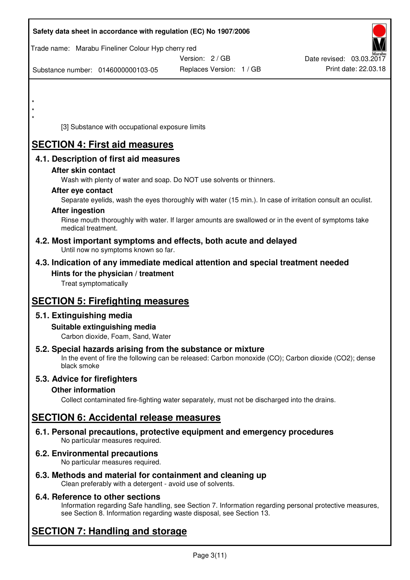|         | Safety data sheet in accordance with regulation (EC) No 1907/2006                                            |                                                                                                            |                          |
|---------|--------------------------------------------------------------------------------------------------------------|------------------------------------------------------------------------------------------------------------|--------------------------|
|         | Trade name: Marabu Fineliner Colour Hyp cherry red                                                           | Version: 2/GB                                                                                              | Date revised: 03.03.2017 |
|         | Substance number: 0146000000103-05                                                                           | Replaces Version: 1 / GB                                                                                   | Print date: 22.03.18     |
|         |                                                                                                              |                                                                                                            |                          |
| $\star$ |                                                                                                              |                                                                                                            |                          |
|         |                                                                                                              |                                                                                                            |                          |
|         | [3] Substance with occupational exposure limits                                                              |                                                                                                            |                          |
|         | <b>SECTION 4: First aid measures</b>                                                                         |                                                                                                            |                          |
|         | 4.1. Description of first aid measures                                                                       |                                                                                                            |                          |
|         | After skin contact<br>Wash with plenty of water and soap. Do NOT use solvents or thinners.                   |                                                                                                            |                          |
|         | After eye contact                                                                                            |                                                                                                            |                          |
|         |                                                                                                              | Separate eyelids, wash the eyes thoroughly with water (15 min.). In case of irritation consult an oculist. |                          |
|         | <b>After ingestion</b><br>medical treatment.                                                                 | Rinse mouth thoroughly with water. If larger amounts are swallowed or in the event of symptoms take        |                          |
|         | 4.2. Most important symptoms and effects, both acute and delayed<br>Until now no symptoms known so far.      |                                                                                                            |                          |
|         | 4.3. Indication of any immediate medical attention and special treatment needed                              |                                                                                                            |                          |
|         | Hints for the physician / treatment<br>Treat symptomatically                                                 |                                                                                                            |                          |
|         |                                                                                                              |                                                                                                            |                          |
|         | <b>SECTION 5: Firefighting measures</b>                                                                      |                                                                                                            |                          |
|         | 5.1. Extinguishing media<br>Suitable extinguishing media                                                     |                                                                                                            |                          |
|         | Carbon dioxide, Foam, Sand, Water                                                                            |                                                                                                            |                          |
|         | 5.2. Special hazards arising from the substance or mixture<br>black smoke                                    | In the event of fire the following can be released: Carbon monoxide (CO); Carbon dioxide (CO2); dense      |                          |
|         | 5.3. Advice for firefighters                                                                                 |                                                                                                            |                          |
|         | <b>Other information</b>                                                                                     |                                                                                                            |                          |
|         |                                                                                                              | Collect contaminated fire-fighting water separately, must not be discharged into the drains.               |                          |
|         | <b>SECTION 6: Accidental release measures</b>                                                                |                                                                                                            |                          |
|         | 6.1. Personal precautions, protective equipment and emergency procedures<br>No particular measures required. |                                                                                                            |                          |
|         | 6.2. Environmental precautions<br>No particular measures required.                                           |                                                                                                            |                          |
|         | 6.3. Methods and material for containment and cleaning up                                                    |                                                                                                            |                          |

Clean preferably with a detergent - avoid use of solvents.

## **6.4. Reference to other sections**

Information regarding Safe handling, see Section 7. Information regarding personal protective measures, see Section 8. Information regarding waste disposal, see Section 13.

# **SECTION 7: Handling and storage**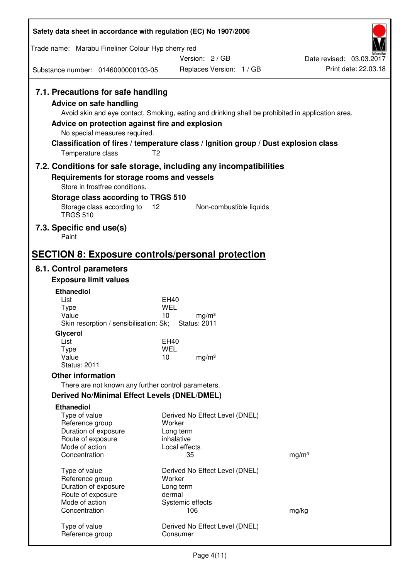| Safety data sheet in accordance with regulation (EC) No 1907/2006                                                                                                                                                                                                                                                                                                         |                                                    |                                          |                   |                          |
|---------------------------------------------------------------------------------------------------------------------------------------------------------------------------------------------------------------------------------------------------------------------------------------------------------------------------------------------------------------------------|----------------------------------------------------|------------------------------------------|-------------------|--------------------------|
| Trade name: Marabu Fineliner Colour Hyp cherry red                                                                                                                                                                                                                                                                                                                        |                                                    |                                          |                   |                          |
|                                                                                                                                                                                                                                                                                                                                                                           |                                                    | Version: 2/GB                            |                   | Date revised: 03.03.2017 |
| Substance number: 0146000000103-05                                                                                                                                                                                                                                                                                                                                        |                                                    | Replaces Version: 1 / GB                 |                   | Print date: 22.03.18     |
| 7.1. Precautions for safe handling<br><b>Advice on safe handling</b><br>Avoid skin and eye contact. Smoking, eating and drinking shall be prohibited in application area.<br>Advice on protection against fire and explosion<br>No special measures required.<br>Classification of fires / temperature class / Ignition group / Dust explosion class<br>Temperature class | T <sub>2</sub>                                     |                                          |                   |                          |
| 7.2. Conditions for safe storage, including any incompatibilities                                                                                                                                                                                                                                                                                                         |                                                    |                                          |                   |                          |
| Requirements for storage rooms and vessels<br>Store in frostfree conditions.                                                                                                                                                                                                                                                                                              |                                                    |                                          |                   |                          |
| Storage class according to TRGS 510<br>Storage class according to<br><b>TRGS 510</b>                                                                                                                                                                                                                                                                                      | 12                                                 | Non-combustible liquids                  |                   |                          |
| 7.3. Specific end use(s)<br>Paint                                                                                                                                                                                                                                                                                                                                         |                                                    |                                          |                   |                          |
| <b>SECTION 8: Exposure controls/personal protection</b>                                                                                                                                                                                                                                                                                                                   |                                                    |                                          |                   |                          |
| 8.1. Control parameters                                                                                                                                                                                                                                                                                                                                                   |                                                    |                                          |                   |                          |
| <b>Exposure limit values</b>                                                                                                                                                                                                                                                                                                                                              |                                                    |                                          |                   |                          |
| <b>Ethanediol</b><br>List<br><b>Type</b><br>Value<br>Skin resorption / sensibilisation: Sk;<br>Glycerol<br>List<br>Type                                                                                                                                                                                                                                                   | <b>EH40</b><br>WEL<br>10<br>EH40<br><b>WEL</b>     | mg/m <sup>3</sup><br><b>Status: 2011</b> |                   |                          |
| Value<br><b>Status: 2011</b>                                                                                                                                                                                                                                                                                                                                              | 10                                                 | mg/m <sup>3</sup>                        |                   |                          |
| <b>Other information</b>                                                                                                                                                                                                                                                                                                                                                  |                                                    |                                          |                   |                          |
| There are not known any further control parameters.                                                                                                                                                                                                                                                                                                                       |                                                    |                                          |                   |                          |
| <b>Derived No/Minimal Effect Levels (DNEL/DMEL)</b>                                                                                                                                                                                                                                                                                                                       |                                                    |                                          |                   |                          |
| <b>Ethanediol</b><br>Type of value<br>Reference group<br>Duration of exposure<br>Route of exposure<br>Mode of action<br>Concentration                                                                                                                                                                                                                                     | Worker<br>Long term<br>inhalative<br>Local effects | Derived No Effect Level (DNEL)<br>35     | mg/m <sup>3</sup> |                          |
| Type of value<br>Reference group<br>Duration of exposure<br>Route of exposure<br>Mode of action                                                                                                                                                                                                                                                                           | Worker<br>Long term<br>dermal<br>Systemic effects  | Derived No Effect Level (DNEL)           |                   |                          |
| Concentration                                                                                                                                                                                                                                                                                                                                                             |                                                    | 106                                      | mg/kg             |                          |
| Type of value<br>Reference group                                                                                                                                                                                                                                                                                                                                          | Consumer                                           | Derived No Effect Level (DNEL)           |                   |                          |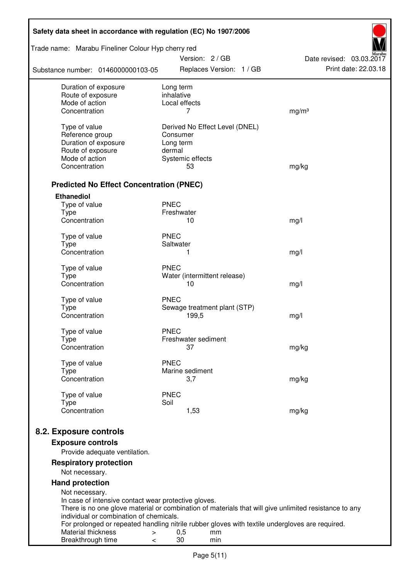| Safety data sheet in accordance with regulation (EC) No 1907/2006                                                                  |                         |                        |                                |                          |  |
|------------------------------------------------------------------------------------------------------------------------------------|-------------------------|------------------------|--------------------------------|--------------------------|--|
| Trade name: Marabu Fineliner Colour Hyp cherry red                                                                                 |                         | Version: 2/GB          |                                | Date revised: 03.03.2017 |  |
| Substance number: 0146000000103-05                                                                                                 |                         |                        | Replaces Version: 1 / GB       | Print date: 22.03.18     |  |
| Duration of exposure<br>Route of exposure                                                                                          | Long term<br>inhalative |                        |                                |                          |  |
| Mode of action                                                                                                                     | Local effects           |                        |                                |                          |  |
| Concentration                                                                                                                      |                         | 7                      |                                | mg/m <sup>3</sup>        |  |
| Type of value                                                                                                                      |                         |                        | Derived No Effect Level (DNEL) |                          |  |
| Reference group                                                                                                                    | Consumer                |                        |                                |                          |  |
| Duration of exposure                                                                                                               | Long term               |                        |                                |                          |  |
| Route of exposure                                                                                                                  | dermal                  |                        |                                |                          |  |
| Mode of action                                                                                                                     |                         | Systemic effects       |                                |                          |  |
| Concentration                                                                                                                      |                         | 53                     |                                | mg/kg                    |  |
| <b>Predicted No Effect Concentration (PNEC)</b>                                                                                    |                         |                        |                                |                          |  |
| <b>Ethanediol</b>                                                                                                                  |                         |                        |                                |                          |  |
| Type of value                                                                                                                      | <b>PNEC</b>             |                        |                                |                          |  |
| <b>Type</b><br>Concentration                                                                                                       | Freshwater              |                        |                                |                          |  |
|                                                                                                                                    |                         | 10                     |                                | mg/l                     |  |
| Type of value                                                                                                                      | <b>PNEC</b>             |                        |                                |                          |  |
| <b>Type</b>                                                                                                                        | Saltwater               |                        |                                |                          |  |
| Concentration                                                                                                                      |                         | 1                      |                                | mg/l                     |  |
| Type of value                                                                                                                      | <b>PNEC</b>             |                        |                                |                          |  |
| <b>Type</b>                                                                                                                        |                         |                        | Water (intermittent release)   |                          |  |
| Concentration                                                                                                                      |                         | 10                     |                                | mg/l                     |  |
| Type of value                                                                                                                      | <b>PNEC</b>             |                        |                                |                          |  |
| <b>Type</b>                                                                                                                        |                         |                        | Sewage treatment plant (STP)   |                          |  |
| Concentration                                                                                                                      |                         | 199,5                  |                                | mg/l                     |  |
|                                                                                                                                    |                         |                        |                                |                          |  |
| Type of value                                                                                                                      | <b>PNEC</b>             | Freshwater sediment    |                                |                          |  |
| Type<br>Concentration                                                                                                              |                         | 37                     |                                | mg/kg                    |  |
|                                                                                                                                    |                         |                        |                                |                          |  |
| Type of value                                                                                                                      | <b>PNEC</b>             |                        |                                |                          |  |
| Type<br>Concentration                                                                                                              |                         | Marine sediment<br>3,7 |                                |                          |  |
|                                                                                                                                    |                         |                        |                                | mg/kg                    |  |
| Type of value                                                                                                                      | <b>PNEC</b>             |                        |                                |                          |  |
| <b>Type</b>                                                                                                                        | Soil                    |                        |                                |                          |  |
| Concentration                                                                                                                      |                         | 1,53                   |                                | mg/kg                    |  |
| 8.2. Exposure controls                                                                                                             |                         |                        |                                |                          |  |
|                                                                                                                                    |                         |                        |                                |                          |  |
| <b>Exposure controls</b><br>Provide adequate ventilation.                                                                          |                         |                        |                                |                          |  |
| <b>Respiratory protection</b>                                                                                                      |                         |                        |                                |                          |  |
| Not necessary.                                                                                                                     |                         |                        |                                |                          |  |
| <b>Hand protection</b>                                                                                                             |                         |                        |                                |                          |  |
| Not necessary.                                                                                                                     |                         |                        |                                |                          |  |
| In case of intensive contact wear protective gloves.                                                                               |                         |                        |                                |                          |  |
| There is no one glove material or combination of materials that will give unlimited resistance to any                              |                         |                        |                                |                          |  |
| individual or combination of chemicals.                                                                                            |                         |                        |                                |                          |  |
| For prolonged or repeated handling nitrile rubber gloves with textile undergloves are required.<br>Material thickness<br>$\, > \,$ | 0,5                     |                        | mm                             |                          |  |
| Breakthrough time<br>$\,<\,$                                                                                                       | 30                      |                        | min                            |                          |  |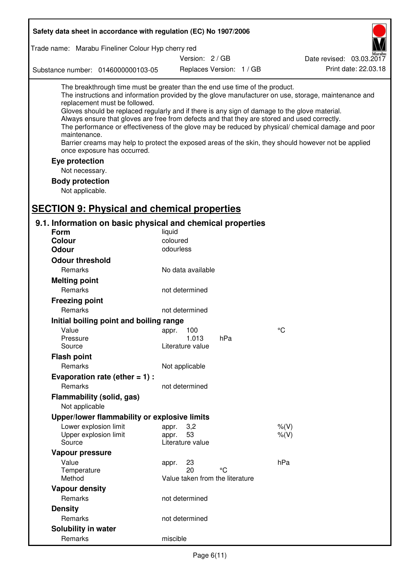| Safety data sheet in accordance with regulation (EC) No 1907/2006                                                                                                                                                                                                                                                                                                              |                                                      |                          |                                                                                                                                                                                                                                                                                                                    |
|--------------------------------------------------------------------------------------------------------------------------------------------------------------------------------------------------------------------------------------------------------------------------------------------------------------------------------------------------------------------------------|------------------------------------------------------|--------------------------|--------------------------------------------------------------------------------------------------------------------------------------------------------------------------------------------------------------------------------------------------------------------------------------------------------------------|
| Trade name: Marabu Fineliner Colour Hyp cherry red                                                                                                                                                                                                                                                                                                                             |                                                      |                          |                                                                                                                                                                                                                                                                                                                    |
|                                                                                                                                                                                                                                                                                                                                                                                | Version: 2 / GB                                      |                          | Date revised: 03.03.2017                                                                                                                                                                                                                                                                                           |
| Substance number: 0146000000103-05                                                                                                                                                                                                                                                                                                                                             |                                                      | Replaces Version: 1 / GB | Print date: 22.03.18                                                                                                                                                                                                                                                                                               |
| The breakthrough time must be greater than the end use time of the product.<br>replacement must be followed.<br>Gloves should be replaced regularly and if there is any sign of damage to the glove material.<br>Always ensure that gloves are free from defects and that they are stored and used correctly.<br>maintenance.<br>once exposure has occurred.<br>Eye protection |                                                      |                          | The instructions and information provided by the glove manufacturer on use, storage, maintenance and<br>The performance or effectiveness of the glove may be reduced by physical/ chemical damage and poor<br>Barrier creams may help to protect the exposed areas of the skin, they should however not be applied |
| Not necessary.                                                                                                                                                                                                                                                                                                                                                                 |                                                      |                          |                                                                                                                                                                                                                                                                                                                    |
| <b>Body protection</b><br>Not applicable.                                                                                                                                                                                                                                                                                                                                      |                                                      |                          |                                                                                                                                                                                                                                                                                                                    |
| <b>SECTION 9: Physical and chemical properties</b><br>9.1. Information on basic physical and chemical properties                                                                                                                                                                                                                                                               |                                                      |                          |                                                                                                                                                                                                                                                                                                                    |
| <b>Form</b>                                                                                                                                                                                                                                                                                                                                                                    | liquid                                               |                          |                                                                                                                                                                                                                                                                                                                    |
| <b>Colour</b>                                                                                                                                                                                                                                                                                                                                                                  | coloured                                             |                          |                                                                                                                                                                                                                                                                                                                    |
| <b>Odour</b>                                                                                                                                                                                                                                                                                                                                                                   | odourless                                            |                          |                                                                                                                                                                                                                                                                                                                    |
| <b>Odour threshold</b>                                                                                                                                                                                                                                                                                                                                                         |                                                      |                          |                                                                                                                                                                                                                                                                                                                    |
| Remarks                                                                                                                                                                                                                                                                                                                                                                        | No data available                                    |                          |                                                                                                                                                                                                                                                                                                                    |
| <b>Melting point</b>                                                                                                                                                                                                                                                                                                                                                           |                                                      |                          |                                                                                                                                                                                                                                                                                                                    |
| Remarks                                                                                                                                                                                                                                                                                                                                                                        | not determined                                       |                          |                                                                                                                                                                                                                                                                                                                    |
| <b>Freezing point</b>                                                                                                                                                                                                                                                                                                                                                          |                                                      |                          |                                                                                                                                                                                                                                                                                                                    |
| Remarks                                                                                                                                                                                                                                                                                                                                                                        | not determined                                       |                          |                                                                                                                                                                                                                                                                                                                    |
| Initial boiling point and boiling range                                                                                                                                                                                                                                                                                                                                        |                                                      |                          |                                                                                                                                                                                                                                                                                                                    |
| Value                                                                                                                                                                                                                                                                                                                                                                          | appr.<br>100                                         |                          | °C                                                                                                                                                                                                                                                                                                                 |
| Pressure<br>Source                                                                                                                                                                                                                                                                                                                                                             | 1.013<br>Literature value                            | hPa                      |                                                                                                                                                                                                                                                                                                                    |
| <b>Flash point</b>                                                                                                                                                                                                                                                                                                                                                             |                                                      |                          |                                                                                                                                                                                                                                                                                                                    |
| Remarks                                                                                                                                                                                                                                                                                                                                                                        | Not applicable                                       |                          |                                                                                                                                                                                                                                                                                                                    |
| Evaporation rate (ether $= 1$ ) :                                                                                                                                                                                                                                                                                                                                              |                                                      |                          |                                                                                                                                                                                                                                                                                                                    |
| Remarks                                                                                                                                                                                                                                                                                                                                                                        | not determined                                       |                          |                                                                                                                                                                                                                                                                                                                    |
| Flammability (solid, gas)<br>Not applicable                                                                                                                                                                                                                                                                                                                                    |                                                      |                          |                                                                                                                                                                                                                                                                                                                    |
| Upper/lower flammability or explosive limits                                                                                                                                                                                                                                                                                                                                   |                                                      |                          |                                                                                                                                                                                                                                                                                                                    |
| Lower explosion limit<br>Upper explosion limit<br>Source                                                                                                                                                                                                                                                                                                                       | 3,2<br>appr.<br>53<br>appr.<br>Literature value      |                          | $%$ $(V)$<br>$%$ (V)                                                                                                                                                                                                                                                                                               |
| Vapour pressure                                                                                                                                                                                                                                                                                                                                                                |                                                      |                          |                                                                                                                                                                                                                                                                                                                    |
| Value<br>Temperature<br>Method                                                                                                                                                                                                                                                                                                                                                 | 23<br>appr.<br>20<br>Value taken from the literature | °C                       | hPa                                                                                                                                                                                                                                                                                                                |
| <b>Vapour density</b>                                                                                                                                                                                                                                                                                                                                                          |                                                      |                          |                                                                                                                                                                                                                                                                                                                    |
| Remarks                                                                                                                                                                                                                                                                                                                                                                        | not determined                                       |                          |                                                                                                                                                                                                                                                                                                                    |
| <b>Density</b>                                                                                                                                                                                                                                                                                                                                                                 |                                                      |                          |                                                                                                                                                                                                                                                                                                                    |
| Remarks                                                                                                                                                                                                                                                                                                                                                                        | not determined                                       |                          |                                                                                                                                                                                                                                                                                                                    |
| Solubility in water                                                                                                                                                                                                                                                                                                                                                            |                                                      |                          |                                                                                                                                                                                                                                                                                                                    |
| Remarks                                                                                                                                                                                                                                                                                                                                                                        | miscible                                             |                          |                                                                                                                                                                                                                                                                                                                    |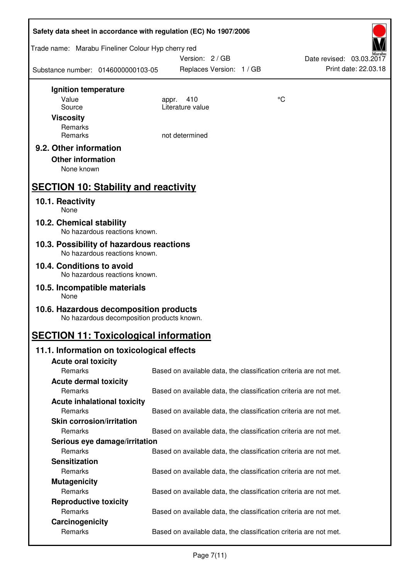|                                                    |                                            | Safety data sheet in accordance with regulation (EC) No 1907/2006 |    |                          |
|----------------------------------------------------|--------------------------------------------|-------------------------------------------------------------------|----|--------------------------|
| Trade name: Marabu Fineliner Colour Hyp cherry red |                                            | Version: 2/GB                                                     |    | Date revised: 03.03.2017 |
| Substance number: 0146000000103-05                 |                                            | Replaces Version: 1 / GB                                          |    | Print date: 22.03.18     |
| Ignition temperature                               |                                            |                                                                   |    |                          |
| Value                                              |                                            | 410<br>appr.                                                      | °C |                          |
| Source                                             |                                            | Literature value                                                  |    |                          |
| <b>Viscosity</b>                                   |                                            |                                                                   |    |                          |
| Remarks<br>Remarks                                 |                                            | not determined                                                    |    |                          |
|                                                    |                                            |                                                                   |    |                          |
| 9.2. Other information                             |                                            |                                                                   |    |                          |
| <b>Other information</b>                           |                                            |                                                                   |    |                          |
| None known                                         |                                            |                                                                   |    |                          |
| <b>SECTION 10: Stability and reactivity</b>        |                                            |                                                                   |    |                          |
| 10.1. Reactivity<br>None                           |                                            |                                                                   |    |                          |
| 10.2. Chemical stability                           | No hazardous reactions known.              |                                                                   |    |                          |
| 10.3. Possibility of hazardous reactions           | No hazardous reactions known.              |                                                                   |    |                          |
| 10.4. Conditions to avoid                          |                                            |                                                                   |    |                          |
|                                                    | No hazardous reactions known.              |                                                                   |    |                          |
| 10.5. Incompatible materials<br>None               |                                            |                                                                   |    |                          |
| 10.6. Hazardous decomposition products             | No hazardous decomposition products known. |                                                                   |    |                          |
| <b>SECTION 11: Toxicological information</b>       |                                            |                                                                   |    |                          |
| 11.1. Information on toxicological effects         |                                            |                                                                   |    |                          |
| <b>Acute oral toxicity</b>                         |                                            |                                                                   |    |                          |
| Remarks                                            |                                            | Based on available data, the classification criteria are not met. |    |                          |
| <b>Acute dermal toxicity</b>                       |                                            |                                                                   |    |                          |
| Remarks                                            |                                            | Based on available data, the classification criteria are not met. |    |                          |
| <b>Acute inhalational toxicity</b>                 |                                            |                                                                   |    |                          |
| Remarks                                            |                                            | Based on available data, the classification criteria are not met. |    |                          |
| <b>Skin corrosion/irritation</b>                   |                                            |                                                                   |    |                          |
| Remarks                                            |                                            | Based on available data, the classification criteria are not met. |    |                          |
|                                                    | Serious eye damage/irritation              |                                                                   |    |                          |
| Remarks                                            |                                            | Based on available data, the classification criteria are not met. |    |                          |
| <b>Sensitization</b>                               |                                            |                                                                   |    |                          |
| Remarks                                            |                                            | Based on available data, the classification criteria are not met. |    |                          |
| <b>Mutagenicity</b>                                |                                            |                                                                   |    |                          |
| Remarks                                            |                                            | Based on available data, the classification criteria are not met. |    |                          |
| <b>Reproductive toxicity</b>                       |                                            |                                                                   |    |                          |
| Remarks                                            |                                            | Based on available data, the classification criteria are not met. |    |                          |
| Carcinogenicity<br>Remarks                         |                                            | Based on available data, the classification criteria are not met. |    |                          |
|                                                    |                                            |                                                                   |    |                          |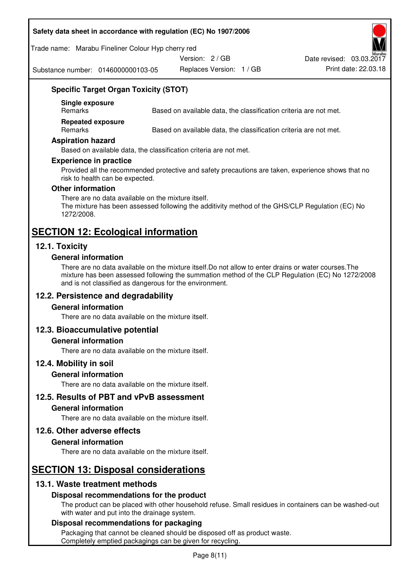#### **Safety data sheet in accordance with regulation (EC) No 1907/2006**

Trade name: Marabu Fineliner Colour Hyp cherry red

Version: 2 / GB

Substance number: 0146000000103-05

Replaces Version: 1 / GB Print date: 22.03.18 Date revised: 03.03.2017

## **Specific Target Organ Toxicity (STOT)**

**Single exposure** 

Based on available data, the classification criteria are not met.

**Repeated exposure** 

Remarks Based on available data, the classification criteria are not met.

#### **Aspiration hazard**

Based on available data, the classification criteria are not met.

#### **Experience in practice**

Provided all the recommended protective and safety precautions are taken, experience shows that no risk to health can be expected.

#### **Other information**

There are no data available on the mixture itself. The mixture has been assessed following the additivity method of the GHS/CLP Regulation (EC) No 1272/2008.

# **SECTION 12: Ecological information**

## **12.1. Toxicity**

#### **General information**

There are no data available on the mixture itself.Do not allow to enter drains or water courses.The mixture has been assessed following the summation method of the CLP Regulation (EC) No 1272/2008 and is not classified as dangerous for the environment.

#### **12.2. Persistence and degradability**

#### **General information**

There are no data available on the mixture itself.

#### **12.3. Bioaccumulative potential**

#### **General information**

There are no data available on the mixture itself.

#### **12.4. Mobility in soil**

#### **General information**

There are no data available on the mixture itself.

**12.5. Results of PBT and vPvB assessment** 

#### **General information**

There are no data available on the mixture itself.

#### **12.6. Other adverse effects**

#### **General information**

There are no data available on the mixture itself.

# **SECTION 13: Disposal considerations**

#### **13.1. Waste treatment methods**

#### **Disposal recommendations for the product**

The product can be placed with other household refuse. Small residues in containers can be washed-out with water and put into the drainage system.

#### **Disposal recommendations for packaging**

Packaging that cannot be cleaned should be disposed off as product waste. Completely emptied packagings can be given for recycling.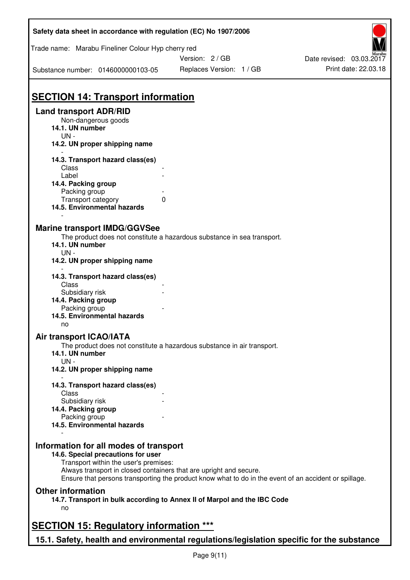| Safety data sheet in accordance with regulation (EC) No 1907/2006                         |                                                                                                       |                          |
|-------------------------------------------------------------------------------------------|-------------------------------------------------------------------------------------------------------|--------------------------|
| Trade name: Marabu Fineliner Colour Hyp cherry red                                        |                                                                                                       |                          |
|                                                                                           | Version: 2 / GB                                                                                       | Date revised: 03.03.2017 |
| Substance number: 0146000000103-05                                                        | Replaces Version: 1 / GB                                                                              | Print date: 22.03.18     |
| <b>SECTION 14: Transport information</b>                                                  |                                                                                                       |                          |
| <b>Land transport ADR/RID</b>                                                             |                                                                                                       |                          |
| Non-dangerous goods                                                                       |                                                                                                       |                          |
| 14.1. UN number<br>$UN -$                                                                 |                                                                                                       |                          |
| 14.2. UN proper shipping name                                                             |                                                                                                       |                          |
| 14.3. Transport hazard class(es)                                                          |                                                                                                       |                          |
| Class                                                                                     |                                                                                                       |                          |
| Label                                                                                     |                                                                                                       |                          |
| 14.4. Packing group                                                                       |                                                                                                       |                          |
| Packing group                                                                             |                                                                                                       |                          |
| Transport category<br>14.5. Environmental hazards                                         | 0                                                                                                     |                          |
|                                                                                           |                                                                                                       |                          |
| <b>Marine transport IMDG/GGVSee</b>                                                       |                                                                                                       |                          |
|                                                                                           | The product does not constitute a hazardous substance in sea transport.                               |                          |
| 14.1. UN number                                                                           |                                                                                                       |                          |
| $UN -$                                                                                    |                                                                                                       |                          |
| 14.2. UN proper shipping name                                                             |                                                                                                       |                          |
| 14.3. Transport hazard class(es)                                                          |                                                                                                       |                          |
| Class                                                                                     |                                                                                                       |                          |
| Subsidiary risk                                                                           |                                                                                                       |                          |
| 14.4. Packing group                                                                       |                                                                                                       |                          |
| Packing group                                                                             |                                                                                                       |                          |
| 14.5. Environmental hazards                                                               |                                                                                                       |                          |
|                                                                                           |                                                                                                       |                          |
| no                                                                                        |                                                                                                       |                          |
| <b>Air transport ICAO/IATA</b>                                                            |                                                                                                       |                          |
|                                                                                           | The product does not constitute a hazardous substance in air transport.                               |                          |
| 14.1. UN number                                                                           |                                                                                                       |                          |
| $UN -$                                                                                    |                                                                                                       |                          |
| 14.2. UN proper shipping name                                                             |                                                                                                       |                          |
| 14.3. Transport hazard class(es)                                                          |                                                                                                       |                          |
| Class                                                                                     |                                                                                                       |                          |
| Subsidiary risk                                                                           |                                                                                                       |                          |
| 14.4. Packing group                                                                       |                                                                                                       |                          |
| Packing group                                                                             |                                                                                                       |                          |
| 14.5. Environmental hazards                                                               |                                                                                                       |                          |
|                                                                                           |                                                                                                       |                          |
| Information for all modes of transport<br>14.6. Special precautions for user              |                                                                                                       |                          |
| Transport within the user's premises:                                                     |                                                                                                       |                          |
|                                                                                           | Always transport in closed containers that are upright and secure.                                    |                          |
|                                                                                           | Ensure that persons transporting the product know what to do in the event of an accident or spillage. |                          |
| <b>Other information</b>                                                                  |                                                                                                       |                          |
|                                                                                           | 14.7. Transport in bulk according to Annex II of Marpol and the IBC Code                              |                          |
| no                                                                                        |                                                                                                       |                          |
|                                                                                           |                                                                                                       |                          |
| <b>SECTION 15: Regulatory information ***</b>                                             |                                                                                                       |                          |
| 15.1. Safety, health and environmental regulations/legislation specific for the substance |                                                                                                       |                          |

ī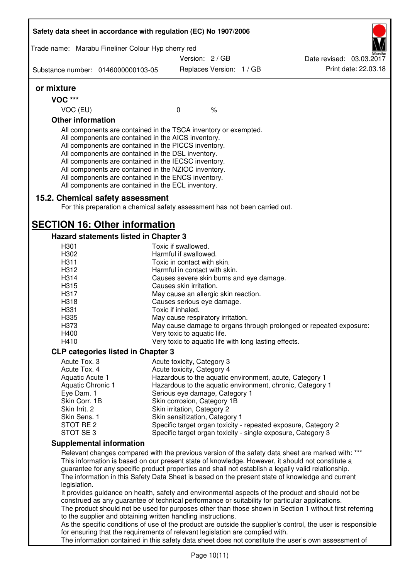| Trade name: Marabu Fineliner Colour Hyp cherry red                                                                                                                                                                                                                                                                                                                                                                                                                |                                      |                          |                                                       |                                                                                                              |
|-------------------------------------------------------------------------------------------------------------------------------------------------------------------------------------------------------------------------------------------------------------------------------------------------------------------------------------------------------------------------------------------------------------------------------------------------------------------|--------------------------------------|--------------------------|-------------------------------------------------------|--------------------------------------------------------------------------------------------------------------|
|                                                                                                                                                                                                                                                                                                                                                                                                                                                                   | Version: 2/GB                        |                          |                                                       | Date revised: 03.03.2017                                                                                     |
| Substance number: 0146000000103-05                                                                                                                                                                                                                                                                                                                                                                                                                                |                                      | Replaces Version: 1 / GB |                                                       | Print date: 22.03.18                                                                                         |
| or mixture                                                                                                                                                                                                                                                                                                                                                                                                                                                        |                                      |                          |                                                       |                                                                                                              |
| <b>VOC ***</b>                                                                                                                                                                                                                                                                                                                                                                                                                                                    |                                      |                          |                                                       |                                                                                                              |
| VOC (EU)                                                                                                                                                                                                                                                                                                                                                                                                                                                          | $\mathbf 0$                          | $\frac{1}{6}$            |                                                       |                                                                                                              |
| <b>Other information</b>                                                                                                                                                                                                                                                                                                                                                                                                                                          |                                      |                          |                                                       |                                                                                                              |
| All components are contained in the TSCA inventory or exempted.<br>All components are contained in the AICS inventory.<br>All components are contained in the PICCS inventory.<br>All components are contained in the DSL inventory.<br>All components are contained in the IECSC inventory.<br>All components are contained in the NZIOC inventory.<br>All components are contained in the ENCS inventory.<br>All components are contained in the ECL inventory. |                                      |                          |                                                       |                                                                                                              |
| 15.2. Chemical safety assessment                                                                                                                                                                                                                                                                                                                                                                                                                                  |                                      |                          |                                                       |                                                                                                              |
| For this preparation a chemical safety assessment has not been carried out.                                                                                                                                                                                                                                                                                                                                                                                       |                                      |                          |                                                       |                                                                                                              |
| <b>SECTION 16: Other information</b>                                                                                                                                                                                                                                                                                                                                                                                                                              |                                      |                          |                                                       |                                                                                                              |
| Hazard statements listed in Chapter 3                                                                                                                                                                                                                                                                                                                                                                                                                             |                                      |                          |                                                       |                                                                                                              |
| H301                                                                                                                                                                                                                                                                                                                                                                                                                                                              | Toxic if swallowed.                  |                          |                                                       |                                                                                                              |
| H302                                                                                                                                                                                                                                                                                                                                                                                                                                                              | Harmful if swallowed.                |                          |                                                       |                                                                                                              |
| H311                                                                                                                                                                                                                                                                                                                                                                                                                                                              | Toxic in contact with skin.          |                          |                                                       |                                                                                                              |
| H312                                                                                                                                                                                                                                                                                                                                                                                                                                                              | Harmful in contact with skin.        |                          |                                                       |                                                                                                              |
| H314                                                                                                                                                                                                                                                                                                                                                                                                                                                              |                                      |                          | Causes severe skin burns and eye damage.              |                                                                                                              |
| H315                                                                                                                                                                                                                                                                                                                                                                                                                                                              | Causes skin irritation.              |                          |                                                       |                                                                                                              |
| H317                                                                                                                                                                                                                                                                                                                                                                                                                                                              | May cause an allergic skin reaction. |                          |                                                       |                                                                                                              |
| H318                                                                                                                                                                                                                                                                                                                                                                                                                                                              | Causes serious eye damage.           |                          |                                                       |                                                                                                              |
| H331                                                                                                                                                                                                                                                                                                                                                                                                                                                              | Toxic if inhaled.                    |                          |                                                       |                                                                                                              |
| H335                                                                                                                                                                                                                                                                                                                                                                                                                                                              | May cause respiratory irritation.    |                          |                                                       |                                                                                                              |
| H373                                                                                                                                                                                                                                                                                                                                                                                                                                                              |                                      |                          |                                                       | May cause damage to organs through prolonged or repeated exposure:                                           |
| H400                                                                                                                                                                                                                                                                                                                                                                                                                                                              | Very toxic to aquatic life.          |                          |                                                       |                                                                                                              |
| H410                                                                                                                                                                                                                                                                                                                                                                                                                                                              |                                      |                          | Very toxic to aquatic life with long lasting effects. |                                                                                                              |
| <b>CLP categories listed in Chapter 3</b>                                                                                                                                                                                                                                                                                                                                                                                                                         |                                      |                          |                                                       |                                                                                                              |
| Acute Tox. 3                                                                                                                                                                                                                                                                                                                                                                                                                                                      | Acute toxicity, Category 3           |                          |                                                       |                                                                                                              |
| Acute Tox. 4                                                                                                                                                                                                                                                                                                                                                                                                                                                      | Acute toxicity, Category 4           |                          |                                                       |                                                                                                              |
| Aquatic Acute 1                                                                                                                                                                                                                                                                                                                                                                                                                                                   |                                      |                          |                                                       | Hazardous to the aquatic environment, acute, Category 1                                                      |
| Aquatic Chronic 1                                                                                                                                                                                                                                                                                                                                                                                                                                                 |                                      |                          |                                                       | Hazardous to the aquatic environment, chronic, Category 1                                                    |
| Eye Dam. 1                                                                                                                                                                                                                                                                                                                                                                                                                                                        | Serious eye damage, Category 1       |                          |                                                       |                                                                                                              |
| Skin Corr. 1B                                                                                                                                                                                                                                                                                                                                                                                                                                                     | Skin corrosion, Category 1B          |                          |                                                       |                                                                                                              |
| Skin Irrit. 2                                                                                                                                                                                                                                                                                                                                                                                                                                                     | Skin irritation, Category 2          |                          |                                                       |                                                                                                              |
| Skin Sens. 1                                                                                                                                                                                                                                                                                                                                                                                                                                                      | Skin sensitization, Category 1       |                          |                                                       |                                                                                                              |
| STOT RE 2                                                                                                                                                                                                                                                                                                                                                                                                                                                         |                                      |                          |                                                       | Specific target organ toxicity - repeated exposure, Category 2                                               |
| STOT SE3                                                                                                                                                                                                                                                                                                                                                                                                                                                          |                                      |                          |                                                       | Specific target organ toxicity - single exposure, Category 3                                                 |
| <b>Supplemental information</b>                                                                                                                                                                                                                                                                                                                                                                                                                                   |                                      |                          |                                                       |                                                                                                              |
|                                                                                                                                                                                                                                                                                                                                                                                                                                                                   |                                      |                          |                                                       | Relevant changes compared with the previous version of the safety data sheet are marked with: ***            |
| This information is based on our present state of knowledge. However, it should not constitute a                                                                                                                                                                                                                                                                                                                                                                  |                                      |                          |                                                       |                                                                                                              |
| guarantee for any specific product properties and shall not establish a legally valid relationship.                                                                                                                                                                                                                                                                                                                                                               |                                      |                          |                                                       | The information in this Safety Data Sheet is based on the present state of knowledge and current             |
| legislation.                                                                                                                                                                                                                                                                                                                                                                                                                                                      |                                      |                          |                                                       |                                                                                                              |
|                                                                                                                                                                                                                                                                                                                                                                                                                                                                   |                                      |                          |                                                       | It provides guidance on health, safety and environmental aspects of the product and should not be            |
| construed as any guarantee of technical performance or suitability for particular applications.                                                                                                                                                                                                                                                                                                                                                                   |                                      |                          |                                                       |                                                                                                              |
|                                                                                                                                                                                                                                                                                                                                                                                                                                                                   |                                      |                          |                                                       | The product should not be used for purposes other than those shown in Section 1 without first referring      |
| to the supplier and obtaining written handling instructions.                                                                                                                                                                                                                                                                                                                                                                                                      |                                      |                          |                                                       |                                                                                                              |
|                                                                                                                                                                                                                                                                                                                                                                                                                                                                   |                                      |                          |                                                       |                                                                                                              |
| for ensuring that the requirements of relevant legislation are complied with.                                                                                                                                                                                                                                                                                                                                                                                     |                                      |                          |                                                       | As the specific conditions of use of the product are outside the supplier's control, the user is responsible |